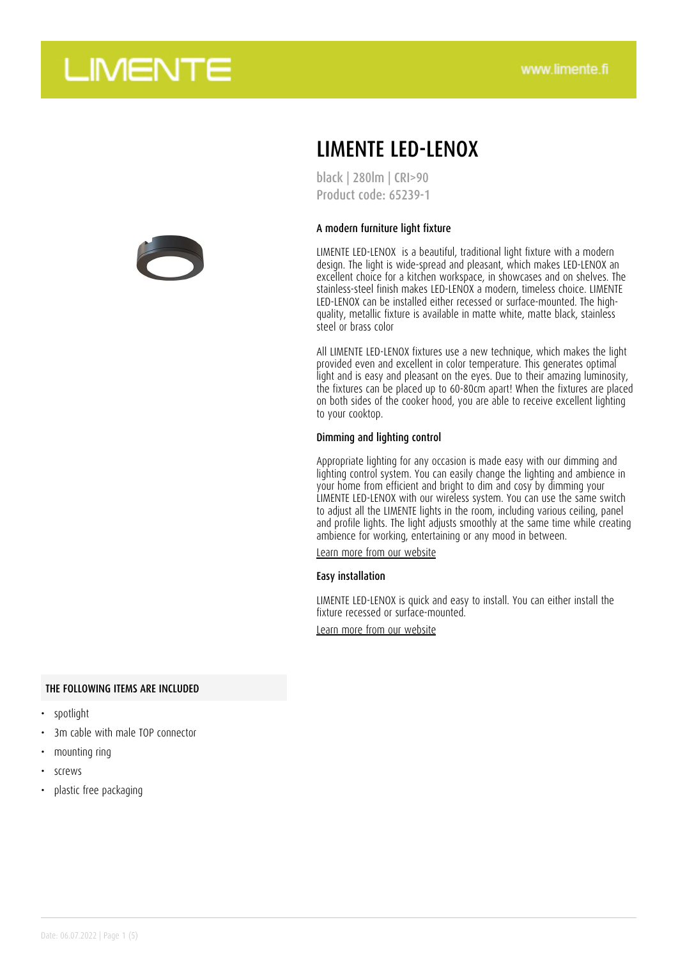



## LIMENTE LED-LENOX

black | 280lm | CRI>90 Product code: 65239-1

#### A modern furniture light fixture

LIMENTE LED-LENOX is a beautiful, traditional light fixture with a modern design. The light is wide-spread and pleasant, which makes LED-LENOX an excellent choice for a kitchen workspace, in showcases and on shelves. The stainless-steel finish makes LED-LENOX a modern, timeless choice. LIMENTE LED-LENOX can be installed either recessed or surface-mounted. The highquality, metallic fixture is available in matte white, matte black, stainless steel or brass color

All LIMENTE LED-LENOX fixtures use a new technique, which makes the light provided even and excellent in color temperature. This generates optimal light and is easy and pleasant on the eyes. Due to their amazing luminosity, the fixtures can be placed up to 60-80cm apart! When the fixtures are placed on both sides of the cooker hood, you are able to receive excellent lighting to your cooktop.

#### Dimming and lighting control

Appropriate lighting for any occasion is made easy with our dimming and lighting control system. You can easily change the lighting and ambience in your home from efficient and bright to dim and cosy by dimming your LIMENTE LED-LENOX with our wireless system. You can use the same switch to adjust all the LIMENTE lights in the room, including various ceiling, panel and profile lights. The light adjusts smoothly at the same time while creating ambience for working, entertaining or any mood in between.

[Learn more from our website](https://www.limente.fi/tuotteet/65239-1)

#### Easy installation

LIMENTE LED-LENOX is quick and easy to install. You can either install the fixture recessed or surface-mounted.

[Learn more from our website](https://www.limente.fi/tuotteet/65239-1)

### THE FOLLOWING ITEMS ARE INCLUDED

- spotlight
- 3m cable with male TOP connector
- mounting ring
- screws
- plastic free packaging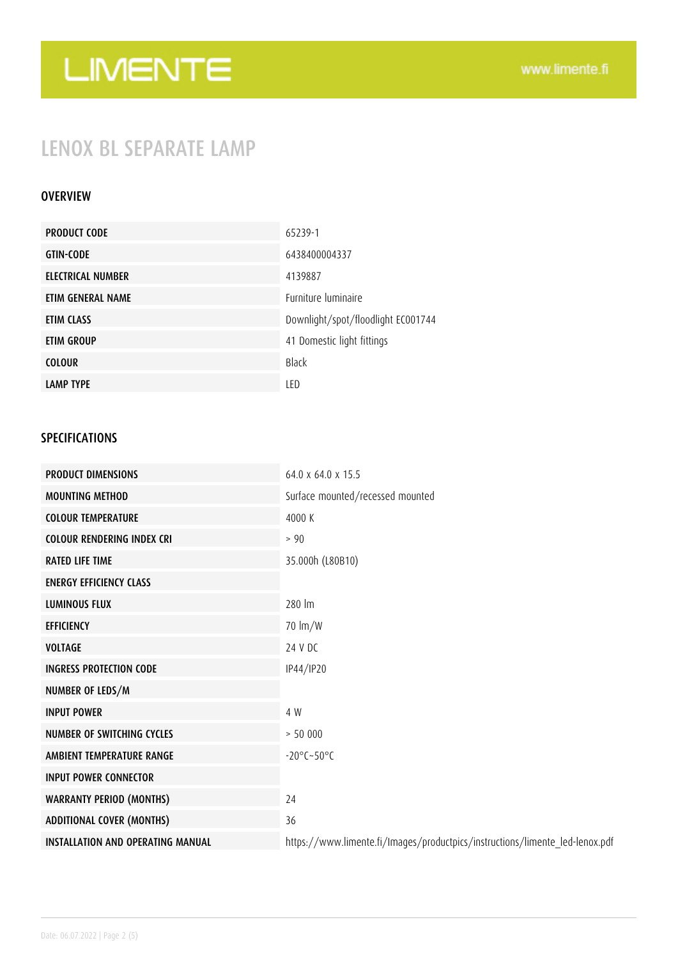## LENOX BL SEPARATE LAMP

### OVERVIEW

| <b>PRODUCT CODE</b> | 65239-1                            |
|---------------------|------------------------------------|
| <b>GTIN-CODE</b>    | 6438400004337                      |
| ELECTRICAL NUMBER   | 4139887                            |
| ETIM GENERAL NAME   | <b>Furniture luminaire</b>         |
| ETIM CLASS          | Downlight/spot/floodlight EC001744 |
| ETIM GROUP          | 41 Domestic light fittings         |
| <b>COLOUR</b>       | <b>Black</b>                       |
| <b>LAMP TYPE</b>    | LED                                |

### SPECIFICATIONS

| <b>PRODUCT DIMENSIONS</b>                | 64.0 x 64.0 x 15.5                                                           |
|------------------------------------------|------------------------------------------------------------------------------|
| <b>MOUNTING METHOD</b>                   | Surface mounted/recessed mounted                                             |
| <b>COLOUR TEMPERATURE</b>                | 4000 K                                                                       |
| <b>COLOUR RENDERING INDEX CRI</b>        | $> 90$                                                                       |
| <b>RATED LIFE TIME</b>                   | 35.000h (L80B10)                                                             |
| <b>ENERGY EFFICIENCY CLASS</b>           |                                                                              |
| <b>LUMINOUS FLUX</b>                     | 280 lm                                                                       |
| <b>EFFICIENCY</b>                        | $70 \, \text{Im}/\text{W}$                                                   |
| <b>VOLTAGE</b>                           | 24 V DC                                                                      |
| <b>INGRESS PROTECTION CODE</b>           | IP44/IP20                                                                    |
| NUMBER OF LEDS/M                         |                                                                              |
| <b>INPUT POWER</b>                       | 4 W                                                                          |
| <b>NUMBER OF SWITCHING CYCLES</b>        | > 50000                                                                      |
| AMBIENT TEMPERATURE RANGE                | $-20^{\circ}$ C $-50^{\circ}$ C                                              |
| <b>INPUT POWER CONNECTOR</b>             |                                                                              |
| <b>WARRANTY PERIOD (MONTHS)</b>          | 24                                                                           |
| <b>ADDITIONAL COVER (MONTHS)</b>         | 36                                                                           |
| <b>INSTALLATION AND OPERATING MANUAL</b> | https://www.limente.fi/Images/productpics/instructions/limente_led-lenox.pdf |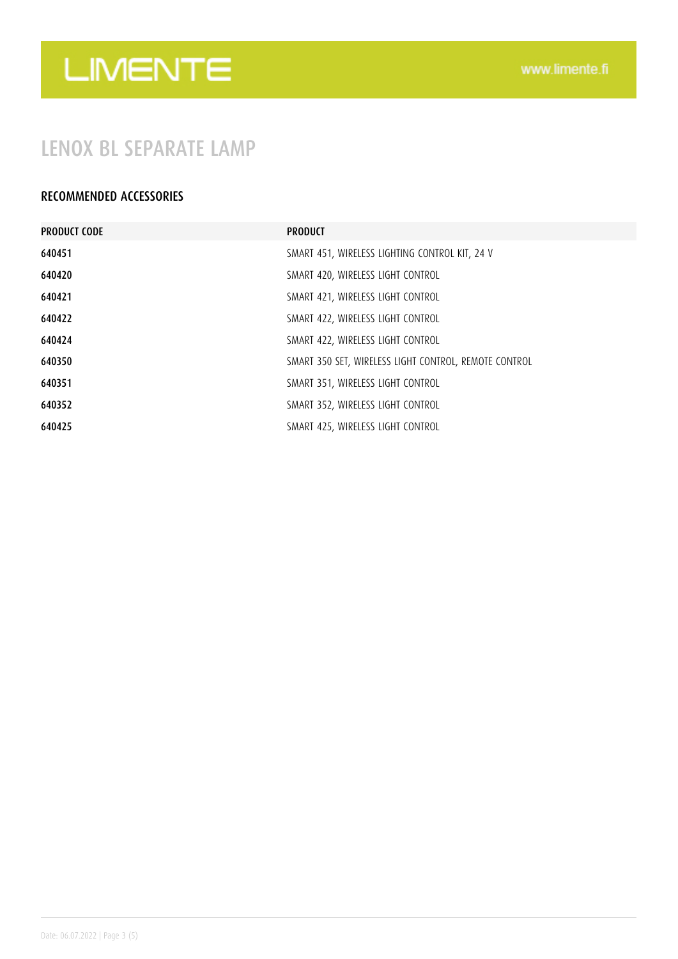## LENOX BL SEPARATE LAMP

### RECOMMENDED ACCESSORIES

| <b>PRODUCT CODE</b> | <b>PRODUCT</b>                                        |
|---------------------|-------------------------------------------------------|
| 640451              | SMART 451, WIRELESS LIGHTING CONTROL KIT, 24 V        |
| 640420              | SMART 420, WIRELESS LIGHT CONTROL                     |
| 640421              | SMART 421, WIRELESS LIGHT CONTROL                     |
| 640422              | SMART 422, WIRELESS LIGHT CONTROL                     |
| 640424              | SMART 422, WIRELESS LIGHT CONTROL                     |
| 640350              | SMART 350 SET, WIRELESS LIGHT CONTROL, REMOTE CONTROL |
| 640351              | SMART 351, WIRELESS LIGHT CONTROL                     |
| 640352              | SMART 352, WIRELESS LIGHT CONTROL                     |
| 640425              | SMART 425, WIRELESS LIGHT CONTROL                     |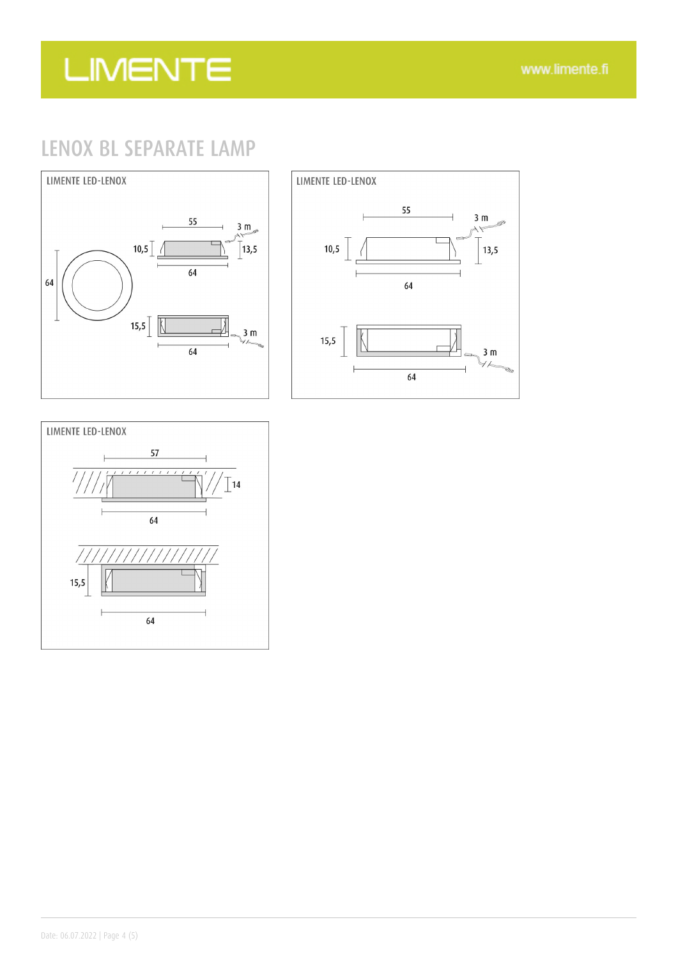## LENOX BL SEPARATE LAMP